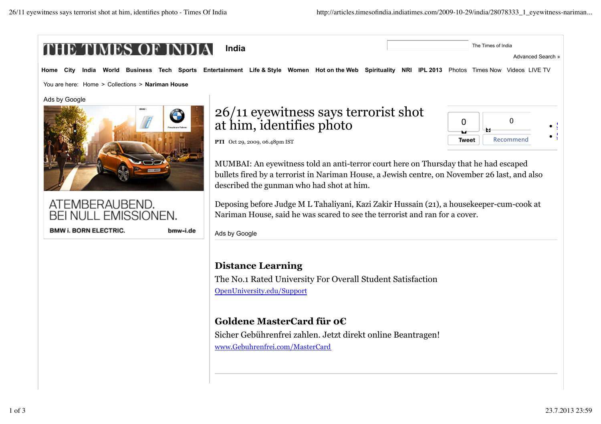

www.Gebuhrenfrei.com/MasterCard